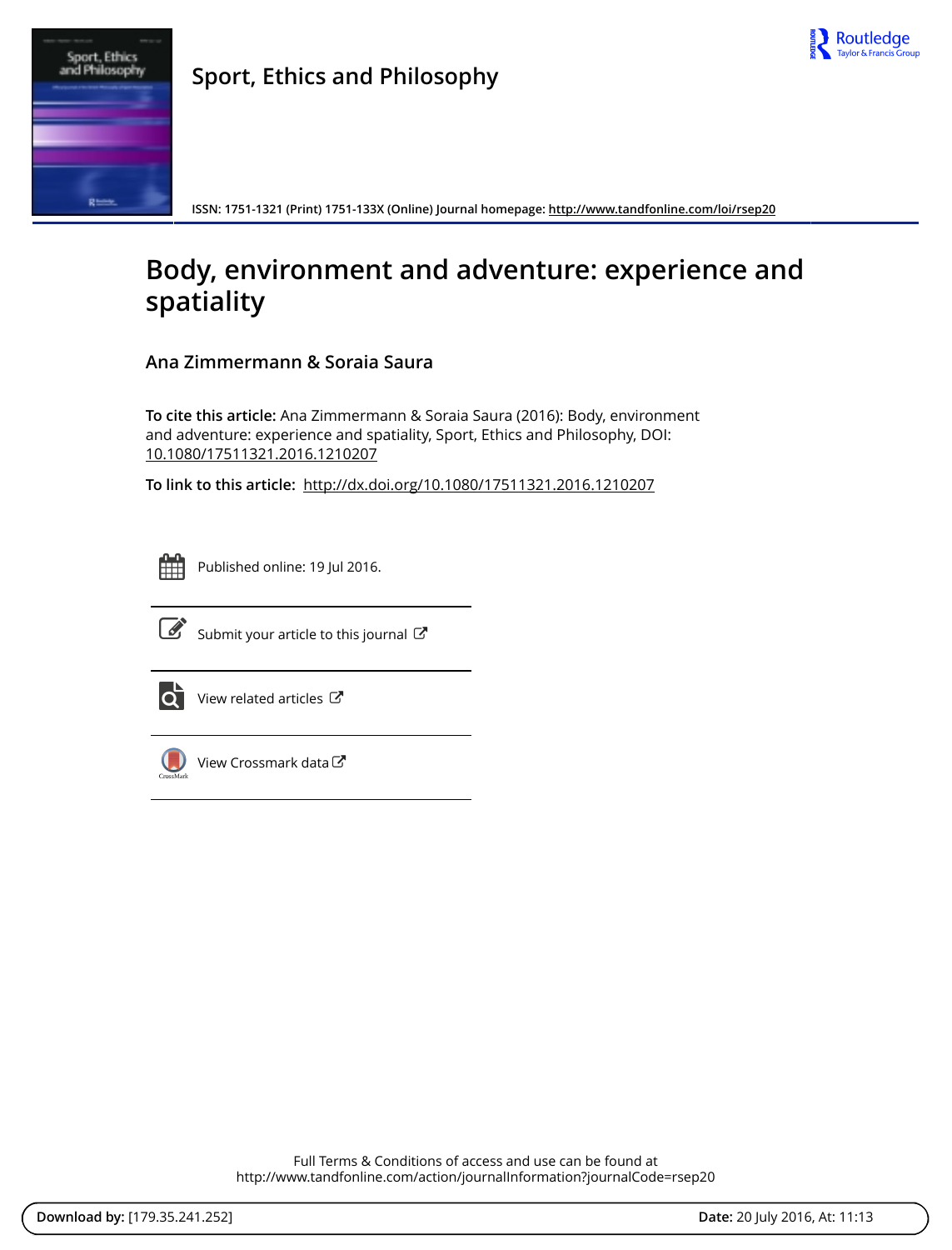



**ISSN: 1751-1321 (Print) 1751-133X (Online) Journal homepage: <http://www.tandfonline.com/loi/rsep20>**

# **Body, environment and adventure: experience and spatiality**

**Ana Zimmermann & Soraia Saura**

**To cite this article:** Ana Zimmermann & Soraia Saura (2016): Body, environment and adventure: experience and spatiality, Sport, Ethics and Philosophy, DOI: [10.1080/17511321.2016.1210207](http://www.tandfonline.com/action/showCitFormats?doi=10.1080/17511321.2016.1210207)

**To link to this article:** <http://dx.doi.org/10.1080/17511321.2016.1210207>

|  | _<br>and the state of the state of the state of the state of the state of the state of the state of the state of th | - |
|--|---------------------------------------------------------------------------------------------------------------------|---|
|  |                                                                                                                     |   |
|  |                                                                                                                     |   |
|  |                                                                                                                     |   |

Published online: 19 Jul 2016.



 $\overrightarrow{S}$  [Submit your article to this journal](http://www.tandfonline.com/action/authorSubmission?journalCode=rsep20&page=instructions)  $\overrightarrow{S}$ 



 $\overrightarrow{Q}$  [View related articles](http://www.tandfonline.com/doi/mlt/10.1080/17511321.2016.1210207)  $\overrightarrow{C}$ 



[View Crossmark data](http://crossmark.crossref.org/dialog/?doi=10.1080/17511321.2016.1210207&domain=pdf&date_stamp=2016-07-19)

Full Terms & Conditions of access and use can be found at <http://www.tandfonline.com/action/journalInformation?journalCode=rsep20>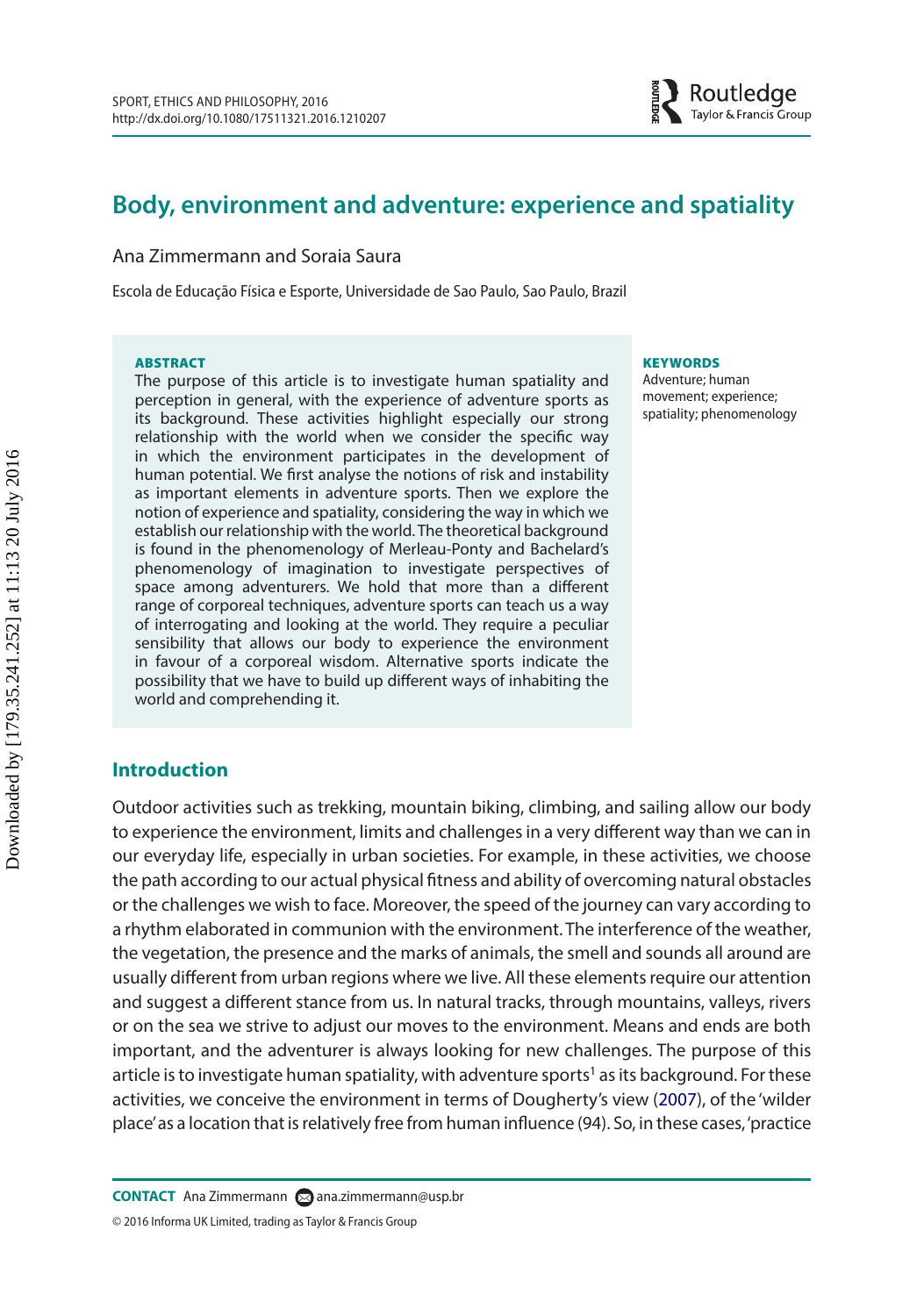## **Body, environment and adventure: experience and spatiality**

Ana Zimmermann and Soraia Saura

Escola de Educação Física e Esporte, Universidade de Sao Paulo, Sao Paulo, Brazil

#### ABSTRACT

The purpose of this article is to investigate human spatiality and perception in general, with the experience of adventure sports as its background. These activities highlight especially our strong relationship with the world when we consider the specific way in which the environment participates in the development of human potential. We first analyse the notions of risk and instability as important elements in adventure sports. Then we explore the notion of experience and spatiality, considering the way in which we establish our relationship with the world. The theoretical background is found in the phenomenology of Merleau-Ponty and Bachelard's phenomenology of imagination to investigate perspectives of space among adventurers. We hold that more than a different range of corporeal techniques, adventure sports can teach us a way of interrogating and looking at the world. They require a peculiar sensibility that allows our body to experience the environment in favour of a corporeal wisdom. Alternative sports indicate the possibility that we have to build up different ways of inhabiting the world and comprehending it.

#### **KEYWORDS**

<span id="page-1-0"></span>Adventure; human movement; experience; spatiality; phenomenology

## **Introduction**

Outdoor activities such as trekking, mountain biking, climbing, and sailing allow our body to experience the environment, limits and challenges in a very different way than we can in our everyday life, especially in urban societies. For example, in these activities, we choose the path according to our actual physical fitness and ability of overcoming natural obstacles or the challenges we wish to face. Moreover, the speed of the journey can vary according to a rhythm elaborated in communion with the environment. The interference of the weather, the vegetation, the presence and the marks of animals, the smell and sounds all around are usually different from urban regions where we live. All these elements require our attention and suggest a different stance from us. In natural tracks, through mountains, valleys, rivers or on the sea we strive to adjust our moves to the environment. Means and ends are both important, and the adventurer is always looking for new challenges. The purpose of this article is to investigate human spatiality, with adventure sports<sup>1</sup> as its background. For these activities, we conceive the environment in terms of Dougherty's view ([2007](#page-13-0)), of the 'wilder place' as a location that is relatively free from human influence (94). So, in these cases, 'practice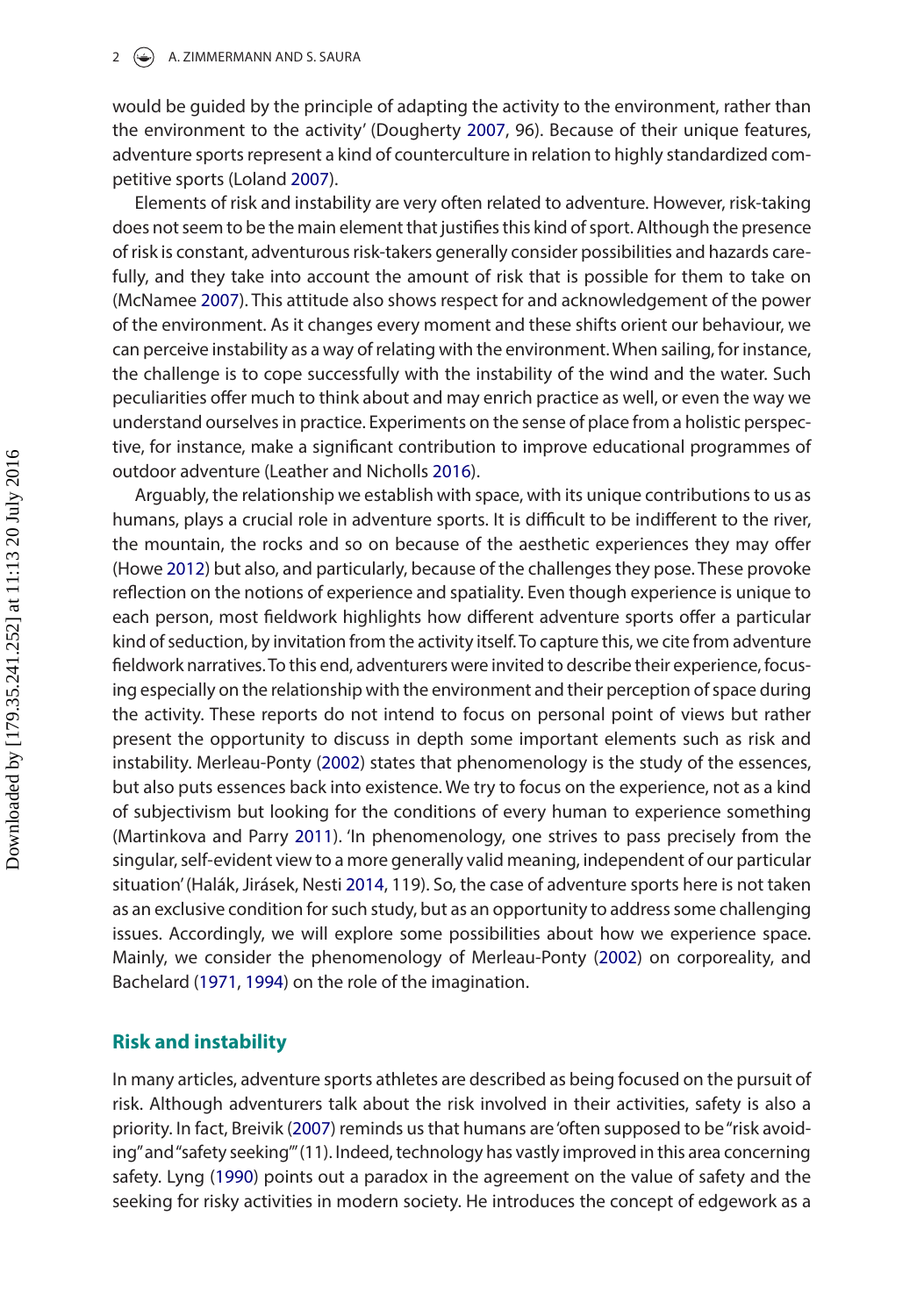#### 2  $\left(\frac{1}{2}\right)$  A. ZIMMERMANN AND S. SAURA

would be guided by the principle of adapting the activity to the environment, rather than the environment to the activity' (Dougherty [2007,](#page-13-0) 96). Because of their unique features, adventure sports represent a kind of counterculture in relation to highly standardized competitive sports (Loland [2007\)](#page-13-1).

<span id="page-2-9"></span><span id="page-2-6"></span>Elements of risk and instability are very often related to adventure. However, risk-taking does not seem to be the main element that justifies this kind of sport. Although the presence of risk is constant, adventurous risk-takers generally consider possibilities and hazards carefully, and they take into account the amount of risk that is possible for them to take on (McNamee [2007\)](#page-14-0). This attitude also shows respect for and acknowledgement of the power of the environment. As it changes every moment and these shifts orient our behaviour, we can perceive instability as a way of relating with the environment. When sailing, for instance, the challenge is to cope successfully with the instability of the wind and the water. Such peculiarities offer much to think about and may enrich practice as well, or even the way we understand ourselves in practice. Experiments on the sense of place from a holistic perspective, for instance, make a significant contribution to improve educational programmes of outdoor adventure (Leather and Nicholls [2016\)](#page-13-2).

<span id="page-2-10"></span><span id="page-2-5"></span><span id="page-2-4"></span>Arguably, the relationship we establish with space, with its unique contributions to us as humans, plays a crucial role in adventure sports. It is difficult to be indifferent to the river, the mountain, the rocks and so on because of the aesthetic experiences they may offer (Howe [2012](#page-13-3)) but also, and particularly, because of the challenges they pose. These provoke reflection on the notions of experience and spatiality. Even though experience is unique to each person, most fieldwork highlights how different adventure sports offer a particular kind of seduction, by invitation from the activity itself. To capture this, we cite from adventure fieldwork narratives. To this end, adventurers were invited to describe their experience, focusing especially on the relationship with the environment and their perception of space during the activity. These reports do not intend to focus on personal point of views but rather present the opportunity to discuss in depth some important elements such as risk and instability. Merleau-Ponty ([2002](#page-14-1)) states that phenomenology is the study of the essences, but also puts essences back into existence. We try to focus on the experience, not as a kind of subjectivism but looking for the conditions of every human to experience something (Martinkova and Parry [2011\)](#page-14-2). 'In phenomenology, one strives to pass precisely from the singular, self-evident view to a more generally valid meaning, independent of our particular situation' (Halák, Jirásek, Nesti [2014](#page-13-4), 119). So, the case of adventure sports here is not taken as an exclusive condition for such study, but as an opportunity to address some challenging issues. Accordingly, we will explore some possibilities about how we experience space. Mainly, we consider the phenomenology of Merleau-Ponty ([2002](#page-14-1)) on corporeality, and Bachelard [\(1971,](#page-13-5) [1994](#page-13-6)) on the role of the imagination.

## <span id="page-2-8"></span><span id="page-2-3"></span><span id="page-2-1"></span><span id="page-2-0"></span>**Risk and instability**

<span id="page-2-7"></span><span id="page-2-2"></span>In many articles, adventure sports athletes are described as being focused on the pursuit of risk. Although adventurers talk about the risk involved in their activities, safety is also a priority. In fact, Breivik [\(2007\)](#page-13-7) reminds us that humans are 'often supposed to be "risk avoiding" and "safety seeking"' (11). Indeed, technology has vastly improved in this area concerning safety. Lyng ([1990](#page-13-8)) points out a paradox in the agreement on the value of safety and the seeking for risky activities in modern society. He introduces the concept of edgework as a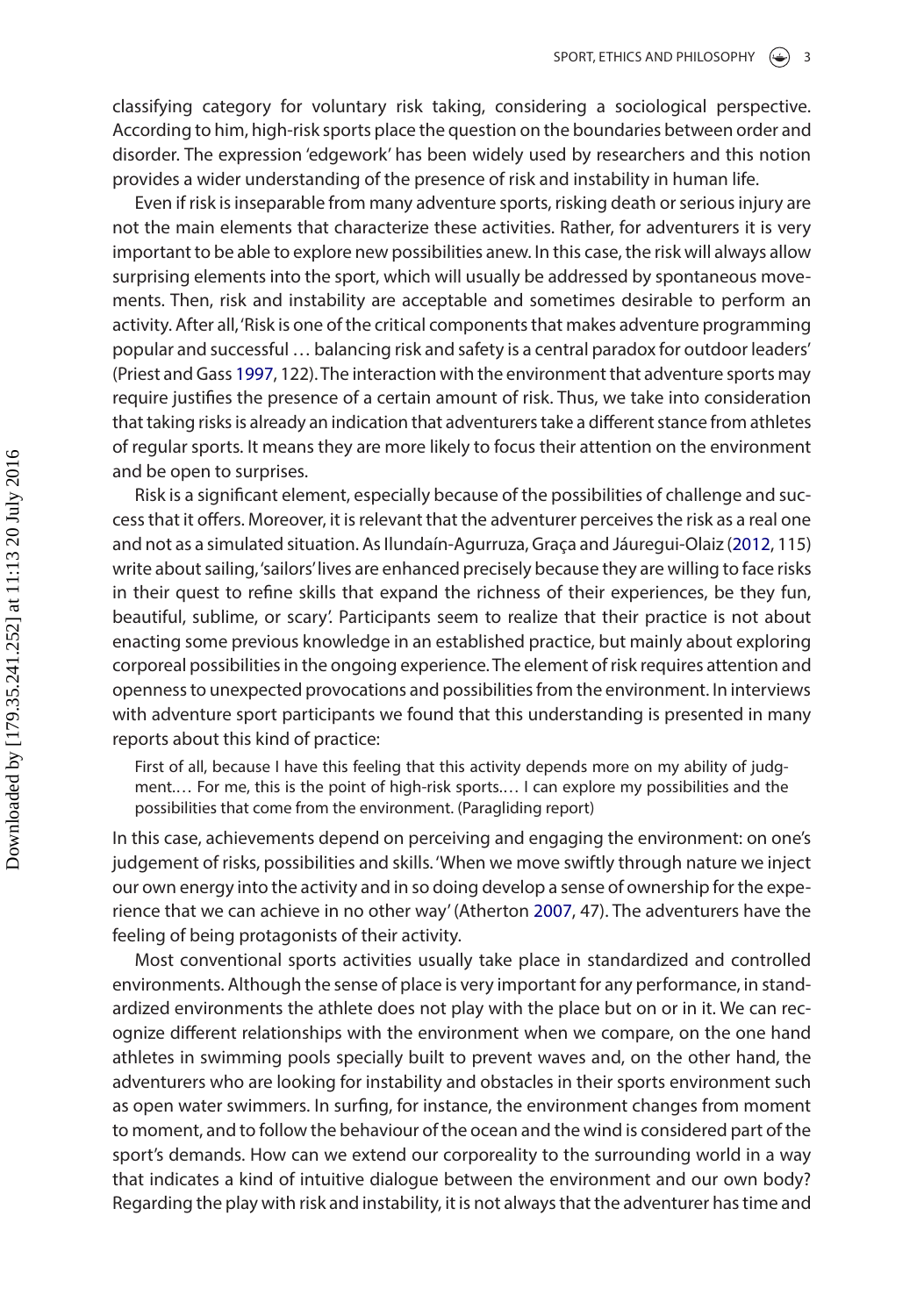classifying category for voluntary risk taking, considering a sociological perspective. According to him, high-risk sports place the question on the boundaries between order and disorder. The expression 'edgework' has been widely used by researchers and this notion provides a wider understanding of the presence of risk and instability in human life.

Even if risk is inseparable from many adventure sports, risking death or serious injury are not the main elements that characterize these activities. Rather, for adventurers it is very important to be able to explore new possibilities anew. In this case, the risk will always allow surprising elements into the sport, which will usually be addressed by spontaneous movements. Then, risk and instability are acceptable and sometimes desirable to perform an activity. After all, 'Risk is one of the critical components that makes adventure programming popular and successful … balancing risk and safety is a central paradox for outdoor leaders' (Priest and Gass [1997](#page-14-3), 122). The interaction with the environment that adventure sports may require justifies the presence of a certain amount of risk. Thus, we take into consideration that taking risks is already an indication that adventurers take a different stance from athletes of regular sports. It means they are more likely to focus their attention on the environment and be open to surprises.

<span id="page-3-2"></span>Risk is a significant element, especially because of the possibilities of challenge and success that it offers. Moreover, it is relevant that the adventurer perceives the risk as a real one and not as a simulated situation. As Ilundaín-Agurruza, Graça and Jáuregui-Olaiz [\(2012](#page-13-9), 115) write about sailing, 'sailors' lives are enhanced precisely because they are willing to face risks in their quest to refine skills that expand the richness of their experiences, be they fun, beautiful, sublime, or scary'. Participants seem to realize that their practice is not about enacting some previous knowledge in an established practice, but mainly about exploring corporeal possibilities in the ongoing experience. The element of risk requires attention and openness to unexpected provocations and possibilities from the environment. In interviews with adventure sport participants we found that this understanding is presented in many reports about this kind of practice:

<span id="page-3-1"></span><span id="page-3-0"></span>First of all, because I have this feeling that this activity depends more on my ability of judgment.… For me, this is the point of high-risk sports.… I can explore my possibilities and the possibilities that come from the environment. (Paragliding report)

In this case, achievements depend on perceiving and engaging the environment: on one's judgement of risks, possibilities and skills. 'When we move swiftly through nature we inject our own energy into the activity and in so doing develop a sense of ownership for the experience that we can achieve in no other way' (Atherton [2007,](#page-13-10) 47). The adventurers have the feeling of being protagonists of their activity.

Most conventional sports activities usually take place in standardized and controlled environments. Although the sense of place is very important for any performance, in standardized environments the athlete does not play with the place but on or in it. We can recognize different relationships with the environment when we compare, on the one hand athletes in swimming pools specially built to prevent waves and, on the other hand, the adventurers who are looking for instability and obstacles in their sports environment such as open water swimmers. In surfing, for instance, the environment changes from moment to moment, and to follow the behaviour of the ocean and the wind is considered part of the sport's demands. How can we extend our corporeality to the surrounding world in a way that indicates a kind of intuitive dialogue between the environment and our own body? Regarding the play with risk and instability, it is not always that the adventurer has time and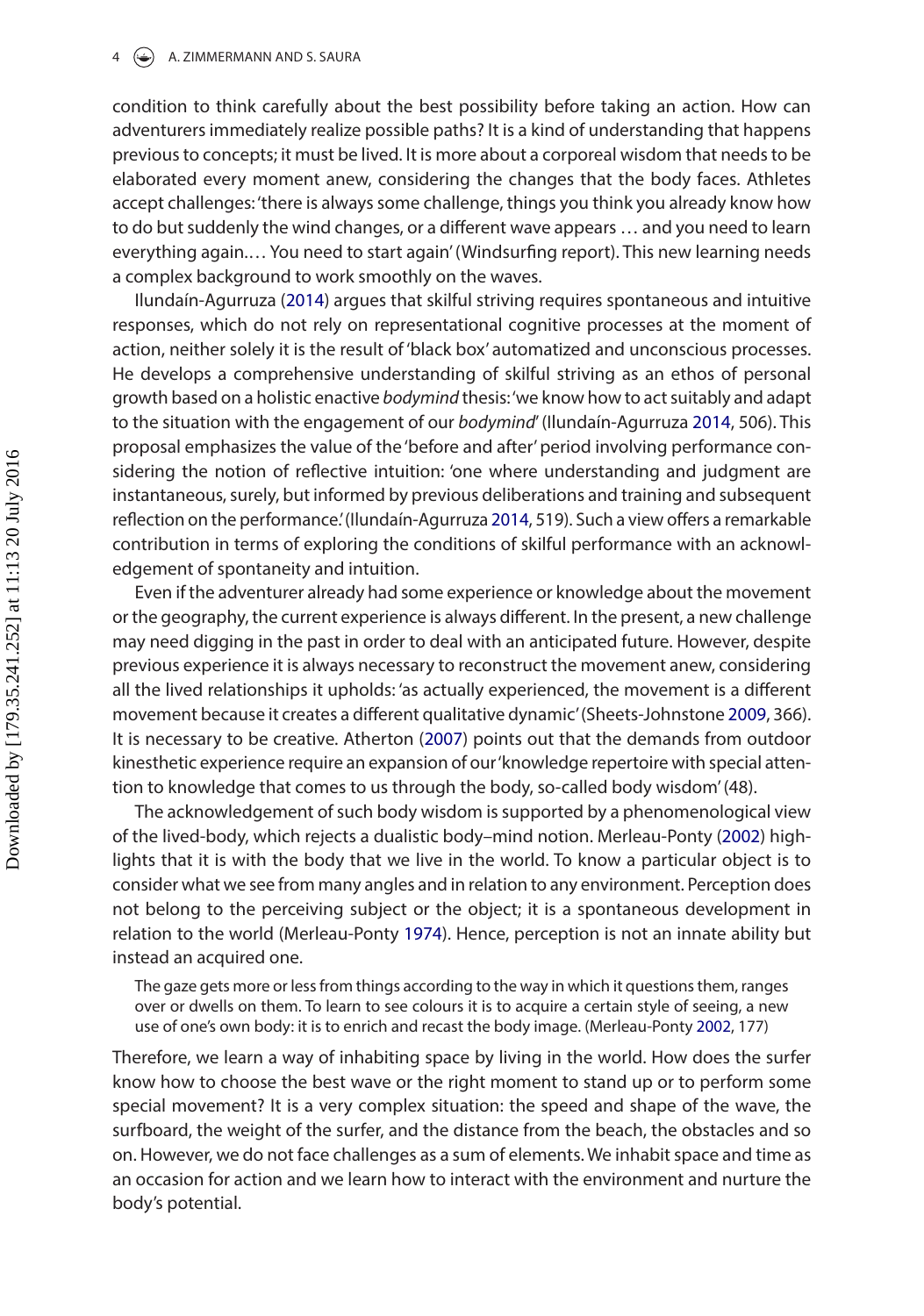#### $4 \rightarrow 4$  A. ZIMMERMANN AND S. SAURA

condition to think carefully about the best possibility before taking an action. How can adventurers immediately realize possible paths? It is a kind of understanding that happens previous to concepts; it must be lived. It is more about a corporeal wisdom that needs to be elaborated every moment anew, considering the changes that the body faces. Athletes accept challenges: 'there is always some challenge, things you think you already know how to do but suddenly the wind changes, or a different wave appears … and you need to learn everything again.… You need to start again' (Windsurfing report). This new learning needs a complex background to work smoothly on the waves.

<span id="page-4-0"></span>Ilundaín-Agurruza ([2014](#page-13-11)) argues that skilful striving requires spontaneous and intuitive responses, which do not rely on representational cognitive processes at the moment of action, neither solely it is the result of 'black box' automatized and unconscious processes. He develops a comprehensive understanding of skilful striving as an ethos of personal growth based on a holistic enactive *bodymind* thesis: 'we know how to act suitably and adapt to the situation with the engagement of our *bodymind*' (Ilundaín-Agurruza [2014](#page-13-11), 506). This proposal emphasizes the value of the 'before and after' period involving performance considering the notion of reflective intuition: 'one where understanding and judgment are instantaneous, surely, but informed by previous deliberations and training and subsequent reflection on the performance.' (Ilundaín-Agurruza [2014](#page-13-11), 519). Such a view offers a remarkable contribution in terms of exploring the conditions of skilful performance with an acknowledgement of spontaneity and intuition.

Even if the adventurer already had some experience or knowledge about the movement or the geography, the current experience is always different. In the present, a new challenge may need digging in the past in order to deal with an anticipated future. However, despite previous experience it is always necessary to reconstruct the movement anew, considering all the lived relationships it upholds: 'as actually experienced, the movement is a different movement because it creates a different qualitative dynamic' (Sheets-Johnstone [2009](#page-14-4), 366). It is necessary to be creative. Atherton ([2007](#page-13-10)) points out that the demands from outdoor kinesthetic experience require an expansion of our 'knowledge repertoire with special attention to knowledge that comes to us through the body, so-called body wisdom' (48).

<span id="page-4-2"></span>The acknowledgement of such body wisdom is supported by a phenomenological view of the lived-body, which rejects a dualistic body–mind notion. Merleau-Ponty ([2002](#page-14-1)) highlights that it is with the body that we live in the world. To know a particular object is to consider what we see from many angles and in relation to any environment. Perception does not belong to the perceiving subject or the object; it is a spontaneous development in relation to the world (Merleau-Ponty [1974](#page-14-5)). Hence, perception is not an innate ability but instead an acquired one.

<span id="page-4-1"></span>The gaze gets more or less from things according to the way in which it questions them, ranges over or dwells on them. To learn to see colours it is to acquire a certain style of seeing, a new use of one's own body: it is to enrich and recast the body image. (Merleau-Ponty [2002](#page-14-1), 177)

Therefore, we learn a way of inhabiting space by living in the world. How does the surfer know how to choose the best wave or the right moment to stand up or to perform some special movement? It is a very complex situation: the speed and shape of the wave, the surfboard, the weight of the surfer, and the distance from the beach, the obstacles and so on. However, we do not face challenges as a sum of elements. We inhabit space and time as an occasion for action and we learn how to interact with the environment and nurture the body's potential.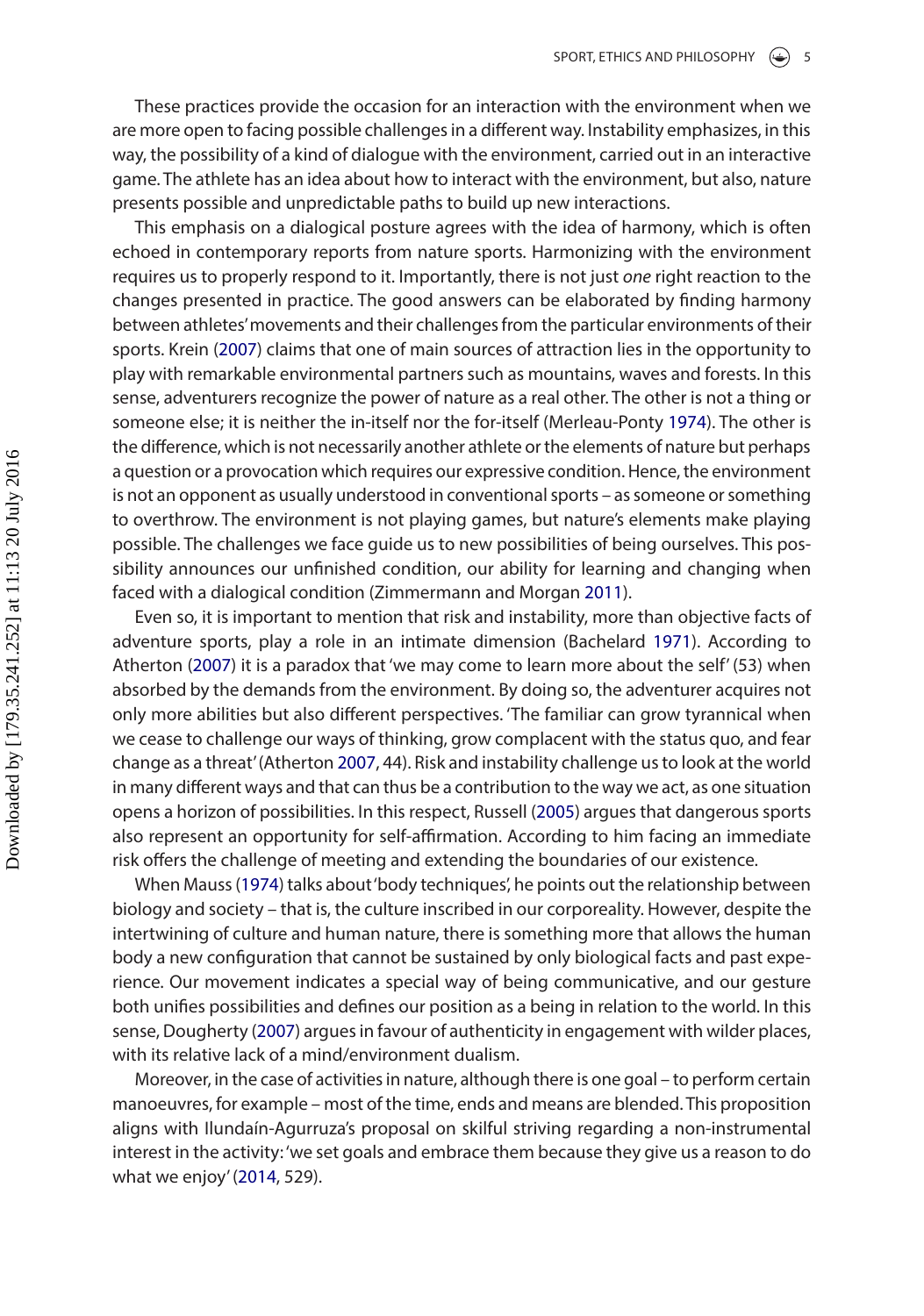These practices provide the occasion for an interaction with the environment when we are more open to facing possible challenges in a different way. Instability emphasizes, in this way, the possibility of a kind of dialogue with the environment, carried out in an interactive game. The athlete has an idea about how to interact with the environment, but also, nature presents possible and unpredictable paths to build up new interactions.

<span id="page-5-0"></span>This emphasis on a dialogical posture agrees with the idea of harmony, which is often echoed in contemporary reports from nature sports. Harmonizing with the environment requires us to properly respond to it. Importantly, there is not just *one* right reaction to the changes presented in practice. The good answers can be elaborated by finding harmony between athletes' movements and their challenges from the particular environments of their sports. Krein ([2007](#page-13-12)) claims that one of main sources of attraction lies in the opportunity to play with remarkable environmental partners such as mountains, waves and forests. In this sense, adventurers recognize the power of nature as a real other. The other is not a thing or someone else; it is neither the in-itself nor the for-itself (Merleau-Ponty [1974](#page-14-5)). The other is the difference, which is not necessarily another athlete or the elements of nature but perhaps a question or a provocation which requires our expressive condition. Hence, the environment is not an opponent as usually understood in conventional sports – as someone or something to overthrow. The environment is not playing games, but nature's elements make playing possible. The challenges we face guide us to new possibilities of being ourselves. This possibility announces our unfinished condition, our ability for learning and changing when faced with a dialogical condition (Zimmermann and Morgan [2011\)](#page-14-6).

<span id="page-5-3"></span>Even so, it is important to mention that risk and instability, more than objective facts of adventure sports, play a role in an intimate dimension (Bachelard [1971](#page-13-5)). According to Atherton ([2007](#page-13-10)) it is a paradox that 'we may come to learn more about the self' (53) when absorbed by the demands from the environment. By doing so, the adventurer acquires not only more abilities but also different perspectives. 'The familiar can grow tyrannical when we cease to challenge our ways of thinking, grow complacent with the status quo, and fear change as a threat' (Atherton [2007,](#page-13-10) 44). Risk and instability challenge us to look at the world in many different ways and that can thus be a contribution to the way we act, as one situation opens a horizon of possibilities. In this respect, Russell [\(2005\)](#page-14-7) argues that dangerous sports also represent an opportunity for self-affirmation. According to him facing an immediate risk offers the challenge of meeting and extending the boundaries of our existence.

<span id="page-5-2"></span><span id="page-5-1"></span>When Mauss ([1974\)](#page-14-8) talks about 'body techniques', he points out the relationship between biology and society – that is, the culture inscribed in our corporeality. However, despite the intertwining of culture and human nature, there is something more that allows the human body a new configuration that cannot be sustained by only biological facts and past experience. Our movement indicates a special way of being communicative, and our gesture both unifies possibilities and defines our position as a being in relation to the world. In this sense, Dougherty [\(2007\)](#page-13-0) argues in favour of authenticity in engagement with wilder places, with its relative lack of a mind/environment dualism.

Moreover, in the case of activities in nature, although there is one goal – to perform certain manoeuvres, for example – most of the time, ends and means are blended. This proposition aligns with Ilundaín-Agurruza's proposal on skilful striving regarding a non-instrumental interest in the activity: 'we set goals and embrace them because they give us a reason to do what we enjoy' [\(2014,](#page-13-11) 529).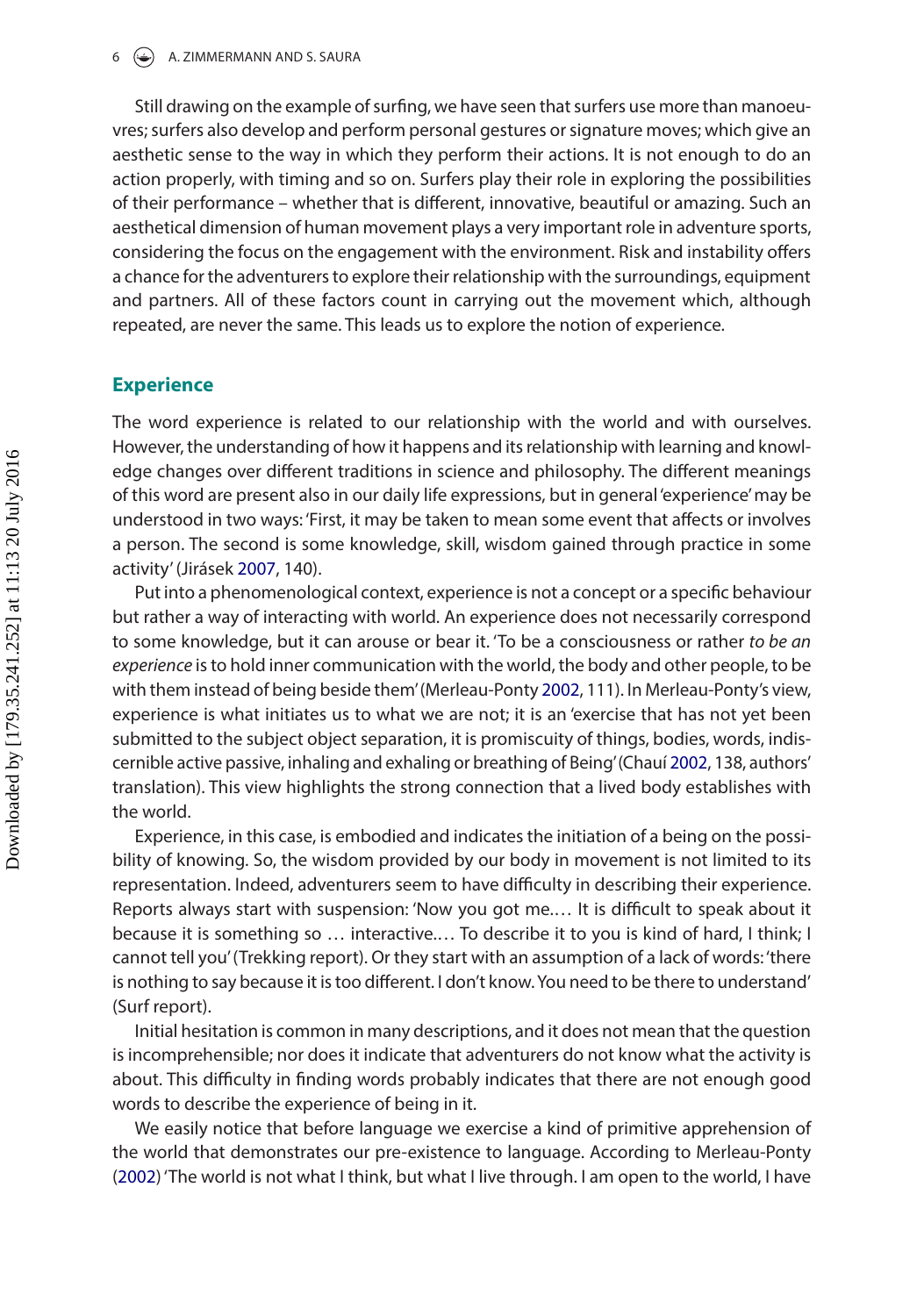Still drawing on the example of surfing, we have seen that surfers use more than manoeuvres; surfers also develop and perform personal gestures or signature moves; which give an aesthetic sense to the way in which they perform their actions. It is not enough to do an action properly, with timing and so on. Surfers play their role in exploring the possibilities of their performance – whether that is different, innovative, beautiful or amazing. Such an aesthetical dimension of human movement plays a very important role in adventure sports, considering the focus on the engagement with the environment. Risk and instability offers a chance for the adventurers to explore their relationship with the surroundings, equipment and partners. All of these factors count in carrying out the movement which, although repeated, are never the same. This leads us to explore the notion of experience.

### **Experience**

The word experience is related to our relationship with the world and with ourselves. However, the understanding of how it happens and its relationship with learning and knowledge changes over different traditions in science and philosophy. The different meanings of this word are present also in our daily life expressions, but in general 'experience' may be understood in two ways: 'First, it may be taken to mean some event that affects or involves a person. The second is some knowledge, skill, wisdom gained through practice in some activity' (Jirásek [2007](#page-13-13), 140).

<span id="page-6-1"></span>Put into a phenomenological context, experience is not a concept or a specific behaviour but rather a way of interacting with world. An experience does not necessarily correspond to some knowledge, but it can arouse or bear it. 'To be a consciousness or rather *to be an experience* is to hold inner communication with the world, the body and other people, to be with them instead of being beside them' (Merleau-Ponty [2002,](#page-14-1) 111). In Merleau-Ponty's view, experience is what initiates us to what we are not; it is an 'exercise that has not yet been submitted to the subject object separation, it is promiscuity of things, bodies, words, indiscernible active passive, inhaling and exhaling or breathing of Being' (Chauí [2002,](#page-13-14) 138, authors' translation). This view highlights the strong connection that a lived body establishes with the world.

<span id="page-6-0"></span>Experience, in this case, is embodied and indicates the initiation of a being on the possibility of knowing. So, the wisdom provided by our body in movement is not limited to its representation. Indeed, adventurers seem to have difficulty in describing their experience. Reports always start with suspension: 'Now you got me.… It is difficult to speak about it because it is something so … interactive.… To describe it to you is kind of hard, I think; I cannot tell you' (Trekking report). Or they start with an assumption of a lack of words: 'there is nothing to say because it is too different. I don't know. You need to be there to understand' (Surf report).

Initial hesitation is common in many descriptions, and it does not mean that the question is incomprehensible; nor does it indicate that adventurers do not know what the activity is about. This difficulty in finding words probably indicates that there are not enough good words to describe the experience of being in it.

We easily notice that before language we exercise a kind of primitive apprehension of the world that demonstrates our pre-existence to language. According to Merleau-Ponty ([2002](#page-14-1)) 'The world is not what I think, but what I live through. I am open to the world, I have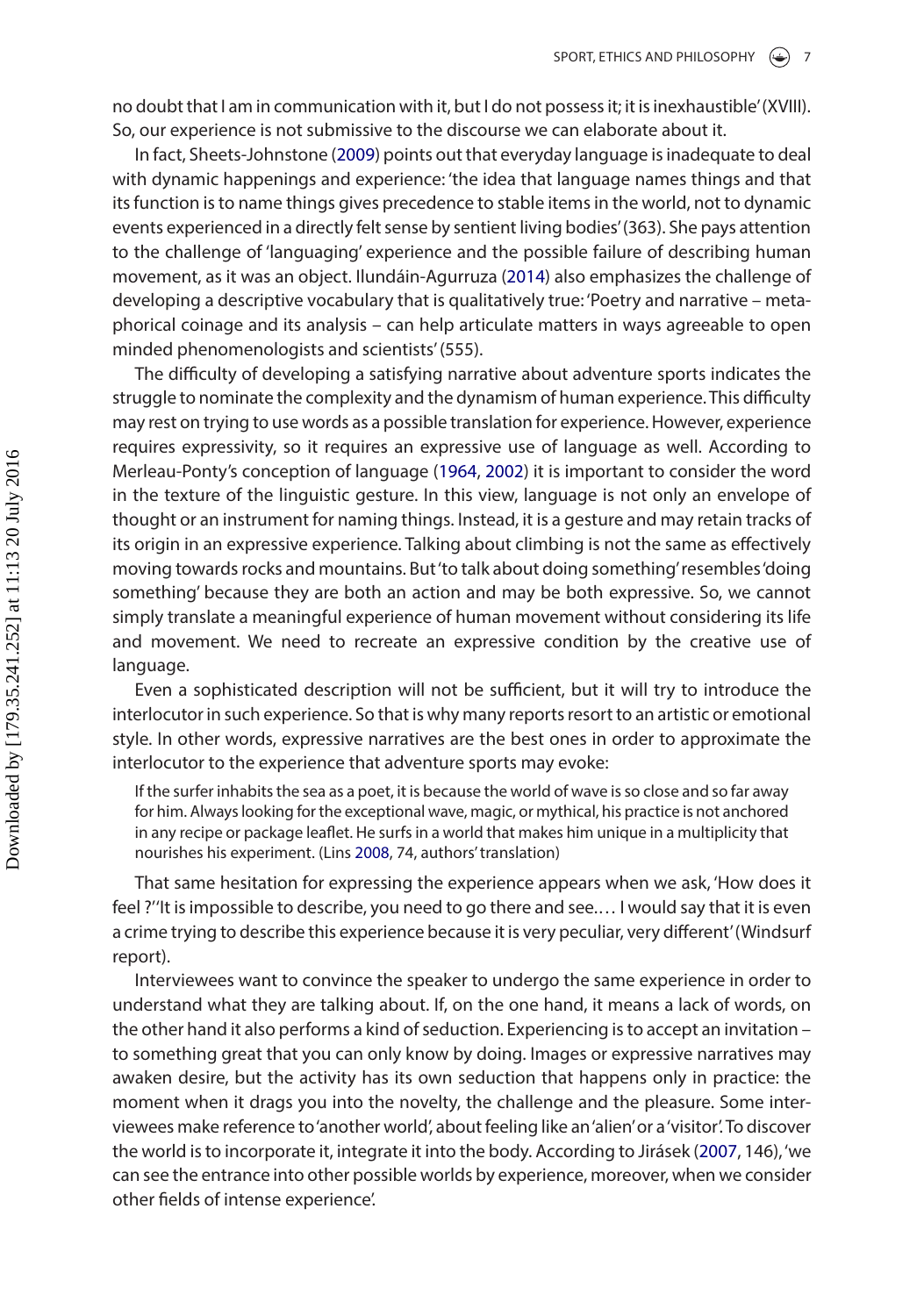no doubt that I am in communication with it, but I do not possess it; it is inexhaustible' (XVIII). So, our experience is not submissive to the discourse we can elaborate about it.

In fact, Sheets-Johnstone ([2009](#page-14-4)) points out that everyday language is inadequate to deal with dynamic happenings and experience: 'the idea that language names things and that its function is to name things gives precedence to stable items in the world, not to dynamic events experienced in a directly felt sense by sentient living bodies' (363). She pays attention to the challenge of 'languaging' experience and the possible failure of describing human movement, as it was an object. Ilundáin-Agurruza ([2014](#page-13-11)) also emphasizes the challenge of developing a descriptive vocabulary that is qualitatively true: 'Poetry and narrative – metaphorical coinage and its analysis – can help articulate matters in ways agreeable to open minded phenomenologists and scientists' (555).

<span id="page-7-1"></span>The difficulty of developing a satisfying narrative about adventure sports indicates the struggle to nominate the complexity and the dynamism of human experience. This difficulty may rest on trying to use words as a possible translation for experience. However, experience requires expressivity, so it requires an expressive use of language as well. According to Merleau-Ponty's conception of language [\(1964,](#page-14-9) [2002\)](#page-14-1) it is important to consider the word in the texture of the linguistic gesture. In this view, language is not only an envelope of thought or an instrument for naming things. Instead, it is a gesture and may retain tracks of its origin in an expressive experience. Talking about climbing is not the same as effectively moving towards rocks and mountains. But 'to talk about doing something' resembles 'doing something' because they are both an action and may be both expressive. So, we cannot simply translate a meaningful experience of human movement without considering its life and movement. We need to recreate an expressive condition by the creative use of language.

Even a sophisticated description will not be sufficient, but it will try to introduce the interlocutor in such experience. So that is why many reports resort to an artistic or emotional style. In other words, expressive narratives are the best ones in order to approximate the interlocutor to the experience that adventure sports may evoke:

<span id="page-7-0"></span>If the surfer inhabits the sea as a poet, it is because the world of wave is so close and so far away for him. Always looking for the exceptional wave, magic, or mythical, his practice is not anchored in any recipe or package leaflet. He surfs in a world that makes him unique in a multiplicity that nourishes his experiment. (Lins [2008,](#page-13-15) 74, authors' translation)

That same hesitation for expressing the experience appears when we ask, 'How does it feel ?''It is impossible to describe, you need to go there and see.... I would say that it is even a crime trying to describe this experience because it is very peculiar, very different' (Windsurf report).

Interviewees want to convince the speaker to undergo the same experience in order to understand what they are talking about. If, on the one hand, it means a lack of words, on the other hand it also performs a kind of seduction. Experiencing is to accept an invitation – to something great that you can only know by doing. Images or expressive narratives may awaken desire, but the activity has its own seduction that happens only in practice: the moment when it drags you into the novelty, the challenge and the pleasure. Some interviewees make reference to 'another world', about feeling like an 'alien' or a 'visitor'. To discover the world is to incorporate it, integrate it into the body. According to Jirásek [\(2007,](#page-13-13) 146), 'we can see the entrance into other possible worlds by experience, moreover, when we consider other fields of intense experience'.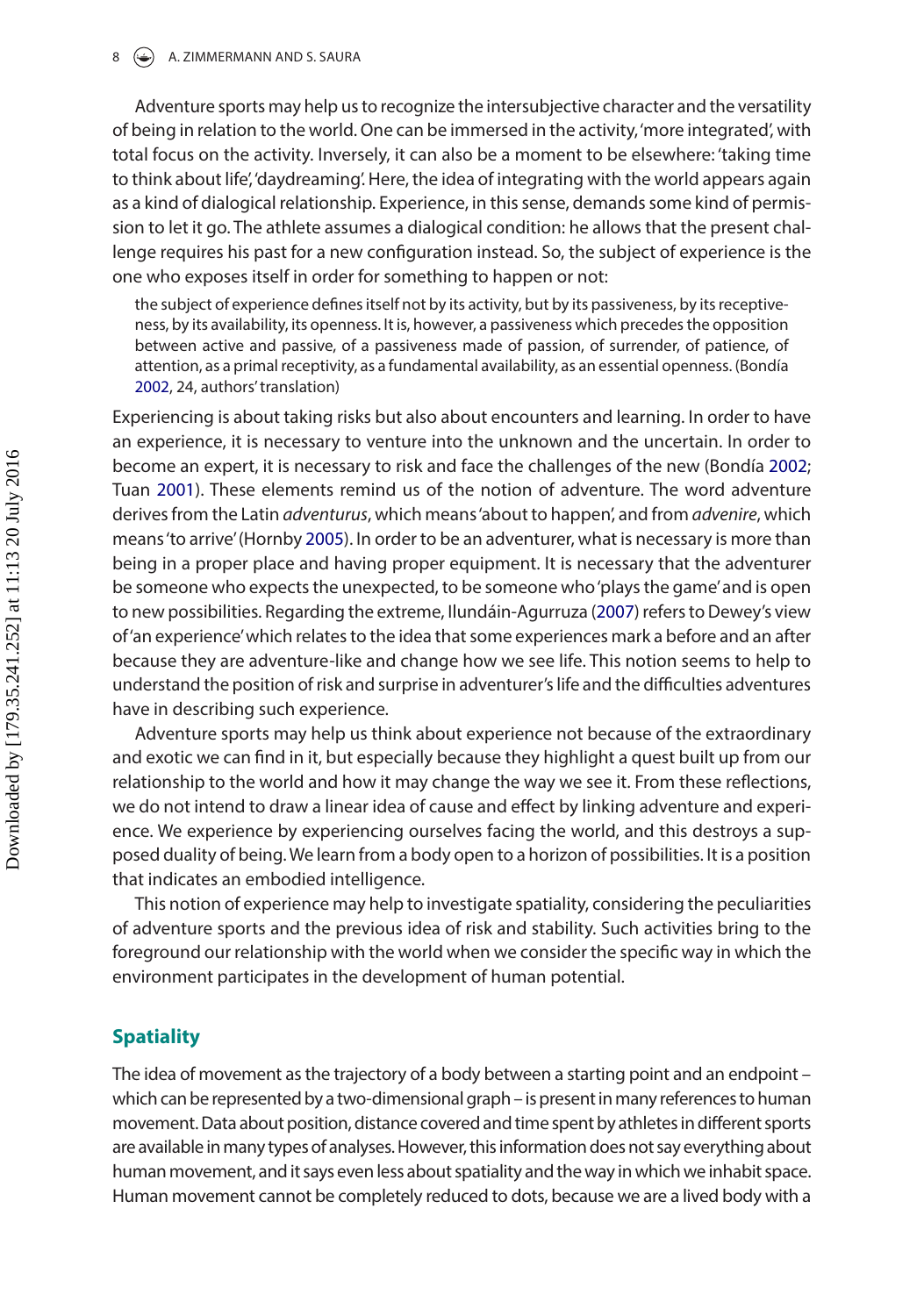Adventure sports may help us to recognize the intersubjective character and the versatility of being in relation to the world. One can be immersed in the activity, 'more integrated', with total focus on the activity. Inversely, it can also be a moment to be elsewhere: 'taking time to think about life', 'daydreaming'. Here, the idea of integrating with the world appears again as a kind of dialogical relationship. Experience, in this sense, demands some kind of permission to let it go. The athlete assumes a dialogical condition: he allows that the present challenge requires his past for a new configuration instead. So, the subject of experience is the one who exposes itself in order for something to happen or not:

the subject of experience defines itself not by its activity, but by its passiveness, by its receptiveness, by its availability, its openness. It is, however, a passiveness which precedes the opposition between active and passive, of a passiveness made of passion, of surrender, of patience, of attention, as a primal receptivity, as a fundamental availability, as an essential openness. (Bondía [2002](#page-13-16), 24, authors' translation)

<span id="page-8-3"></span><span id="page-8-1"></span><span id="page-8-0"></span>Experiencing is about taking risks but also about encounters and learning. In order to have an experience, it is necessary to venture into the unknown and the uncertain. In order to become an expert, it is necessary to risk and face the challenges of the new (Bondía [2002](#page-13-16); Tuan [2001](#page-14-10)). These elements remind us of the notion of adventure. The word adventure derives from the Latin *adventurus*, which means 'about to happen', and from *advenire*, which means 'to arrive' (Hornby [2005\)](#page-13-17). In order to be an adventurer, what is necessary is more than being in a proper place and having proper equipment. It is necessary that the adventurer be someone who expects the unexpected, to be someone who 'plays the game' and is open to new possibilities. Regarding the extreme, Ilundáin-Agurruza ([2007\)](#page-13-18) refers to Dewey's view of 'an experience' which relates to the idea that some experiences mark a before and an after because they are adventure-like and change how we see life. This notion seems to help to understand the position of risk and surprise in adventurer's life and the difficulties adventures have in describing such experience.

<span id="page-8-2"></span>Adventure sports may help us think about experience not because of the extraordinary and exotic we can find in it, but especially because they highlight a quest built up from our relationship to the world and how it may change the way we see it. From these reflections, we do not intend to draw a linear idea of cause and effect by linking adventure and experience. We experience by experiencing ourselves facing the world, and this destroys a supposed duality of being. We learn from a body open to a horizon of possibilities. It is a position that indicates an embodied intelligence.

This notion of experience may help to investigate spatiality, considering the peculiarities of adventure sports and the previous idea of risk and stability. Such activities bring to the foreground our relationship with the world when we consider the specific way in which the environment participates in the development of human potential.

## **Spatiality**

The idea of movement as the trajectory of a body between a starting point and an endpoint – which can be represented by a two-dimensional graph – is present in many references to human movement. Data about position, distance covered and time spent by athletes in different sports are available in many types of analyses. However, this information does not say everything about human movement, and it says even less about spatiality and the way in which we inhabit space. Human movement cannot be completely reduced to dots, because we are a lived body with a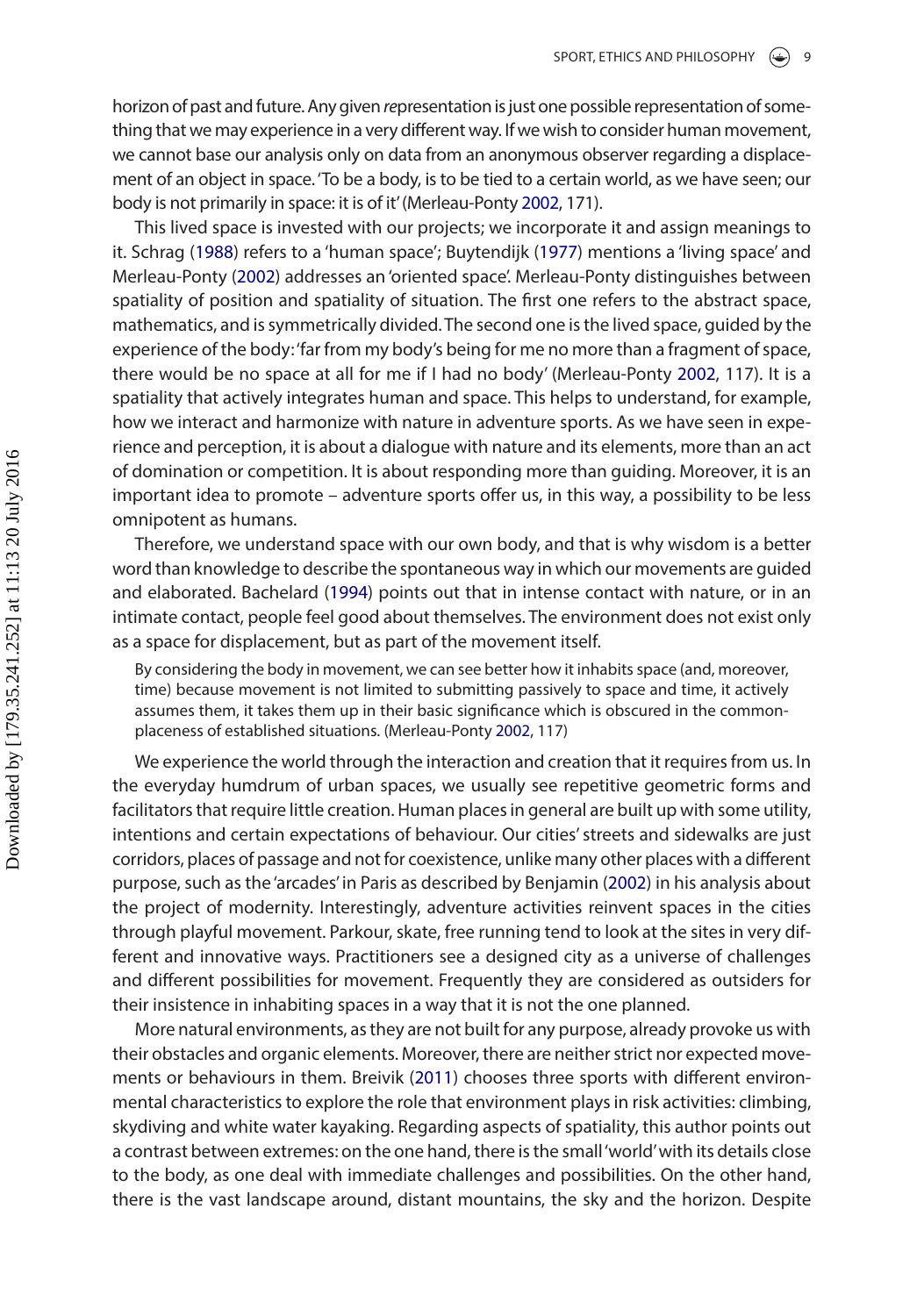horizon of past and future. Any given *re*presentation is just one possible representation of something that we may experience in a very different way. If we wish to consider human movement, we cannot base our analysis only on data from an anonymous observer regarding a displacement of an object in space. 'To be a body, is to be tied to a certain world, as we have seen; our body is not primarily in space: it is of it' (Merleau-Ponty [2002](#page-14-1), 171).

<span id="page-9-3"></span><span id="page-9-2"></span>This lived space is invested with our projects; we incorporate it and assign meanings to it. Schrag [\(1988\)](#page-14-11) refers to a 'human space'; Buytendijk ([1977](#page-13-19)) mentions a 'living space' and Merleau-Ponty ([2002](#page-14-1)) addresses an 'oriented space'. Merleau-Ponty distinguishes between spatiality of position and spatiality of situation. The first one refers to the abstract space, mathematics, and is symmetrically divided. The second one is the lived space, guided by the experience of the body: 'far from my body's being for me no more than a fragment of space, there would be no space at all for me if I had no body' (Merleau-Ponty [2002](#page-14-1), 117). It is a spatiality that actively integrates human and space. This helps to understand, for example, how we interact and harmonize with nature in adventure sports. As we have seen in experience and perception, it is about a dialogue with nature and its elements, more than an act of domination or competition. It is about responding more than guiding. Moreover, it is an important idea to promote – adventure sports offer us, in this way, a possibility to be less omnipotent as humans.

Therefore, we understand space with our own body, and that is why wisdom is a better word than knowledge to describe the spontaneous way in which our movements are guided and elaborated. Bachelard ([1994](#page-13-6)) points out that in intense contact with nature, or in an intimate contact, people feel good about themselves. The environment does not exist only as a space for displacement, but as part of the movement itself.

<span id="page-9-0"></span>By considering the body in movement, we can see better how it inhabits space (and, moreover, time) because movement is not limited to submitting passively to space and time, it actively assumes them, it takes them up in their basic significance which is obscured in the commonplaceness of established situations. (Merleau-Ponty [2002](#page-14-1), 117)

We experience the world through the interaction and creation that it requires from us. In the everyday humdrum of urban spaces, we usually see repetitive geometric forms and facilitators that require little creation. Human places in general are built up with some utility, intentions and certain expectations of behaviour. Our cities' streets and sidewalks are just corridors, places of passage and not for coexistence, unlike many other places with a different purpose, such as the 'arcades' in Paris as described by Benjamin ([2002](#page-13-20)) in his analysis about the project of modernity. Interestingly, adventure activities reinvent spaces in the cities through playful movement. Parkour, skate, free running tend to look at the sites in very different and innovative ways. Practitioners see a designed city as a universe of challenges and different possibilities for movement. Frequently they are considered as outsiders for their insistence in inhabiting spaces in a way that it is not the one planned.

<span id="page-9-1"></span>More natural environments, as they are not built for any purpose, already provoke us with their obstacles and organic elements. Moreover, there are neither strict nor expected movements or behaviours in them. Breivik [\(2011\)](#page-13-21) chooses three sports with different environmental characteristics to explore the role that environment plays in risk activities: climbing, skydiving and white water kayaking. Regarding aspects of spatiality, this author points out a contrast between extremes: on the one hand, there is the small 'world' with its details close to the body, as one deal with immediate challenges and possibilities. On the other hand, there is the vast landscape around, distant mountains, the sky and the horizon. Despite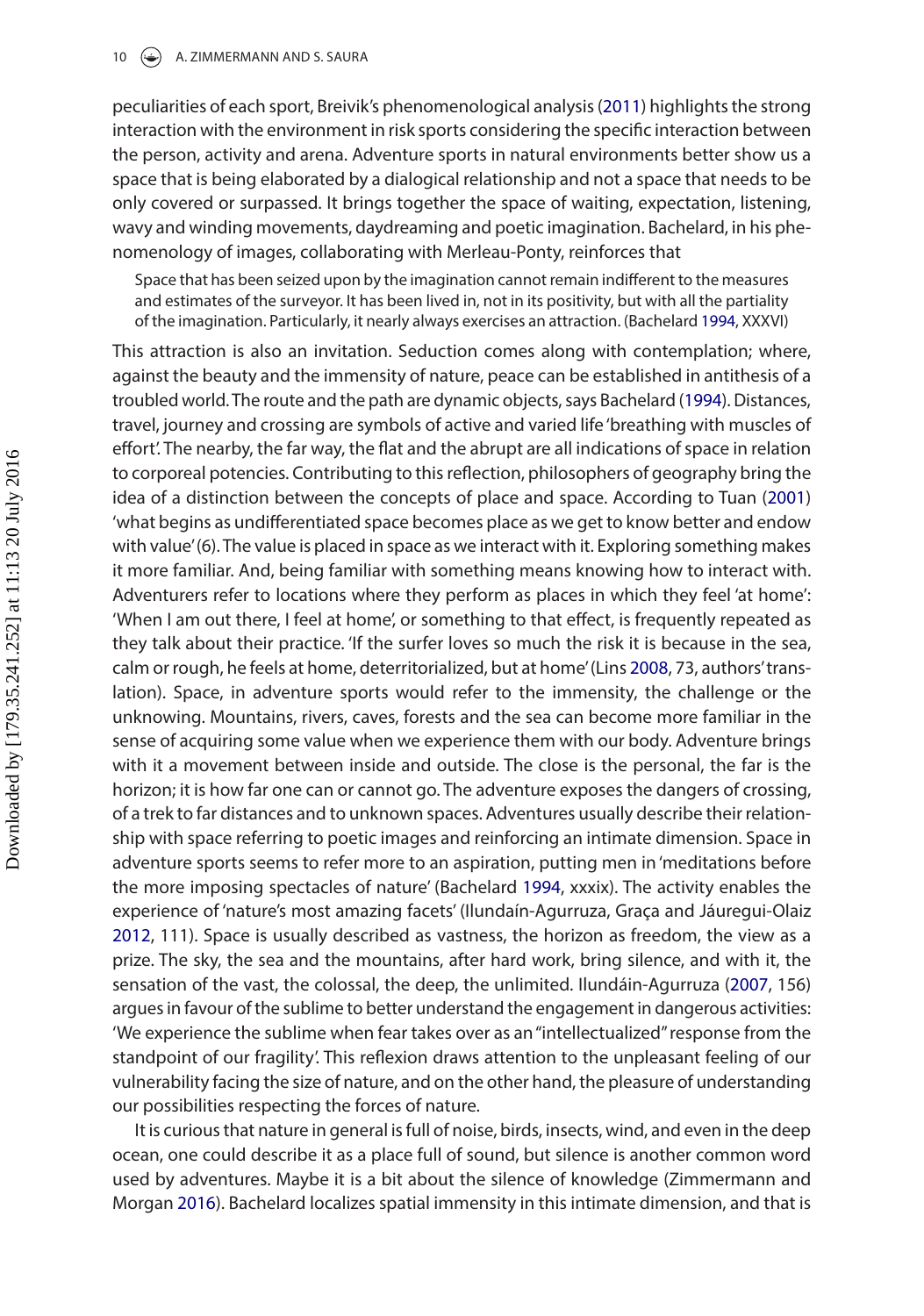peculiarities of each sport, Breivik's phenomenological analysis ([2011](#page-13-21)) highlights the strong interaction with the environment in risk sports considering the specific interaction between the person, activity and arena. Adventure sports in natural environments better show us a space that is being elaborated by a dialogical relationship and not a space that needs to be only covered or surpassed. It brings together the space of waiting, expectation, listening, wavy and winding movements, daydreaming and poetic imagination. Bachelard, in his phenomenology of images, collaborating with Merleau-Ponty, reinforces that

Space that has been seized upon by the imagination cannot remain indifferent to the measures and estimates of the surveyor. It has been lived in, not in its positivity, but with all the partiality of the imagination. Particularly, it nearly always exercises an attraction. (Bachelard [1994,](#page-13-6) XXXVI)

This attraction is also an invitation. Seduction comes along with contemplation; where, against the beauty and the immensity of nature, peace can be established in antithesis of a troubled world. The route and the path are dynamic objects, says Bachelard ([1994\)](#page-13-6). Distances, travel, journey and crossing are symbols of active and varied life 'breathing with muscles of effort'. The nearby, the far way, the flat and the abrupt are all indications of space in relation to corporeal potencies. Contributing to this reflection, philosophers of geography bring the idea of a distinction between the concepts of place and space. According to Tuan ([2001](#page-14-10)) 'what begins as undifferentiated space becomes place as we get to know better and endow with value' (6). The value is placed in space as we interact with it. Exploring something makes it more familiar. And, being familiar with something means knowing how to interact with. Adventurers refer to locations where they perform as places in which they feel 'at home': 'When I am out there, I feel at home', or something to that effect, is frequently repeated as they talk about their practice. 'If the surfer loves so much the risk it is because in the sea, calm or rough, he feels at home, deterritorialized, but at home' (Lins [2008,](#page-13-15) 73, authors' translation). Space, in adventure sports would refer to the immensity, the challenge or the unknowing. Mountains, rivers, caves, forests and the sea can become more familiar in the sense of acquiring some value when we experience them with our body. Adventure brings with it a movement between inside and outside. The close is the personal, the far is the horizon; it is how far one can or cannot go. The adventure exposes the dangers of crossing, of a trek to far distances and to unknown spaces. Adventures usually describe their relationship with space referring to poetic images and reinforcing an intimate dimension. Space in adventure sports seems to refer more to an aspiration, putting men in 'meditations before the more imposing spectacles of nature' (Bachelard [1994,](#page-13-6) xxxix). The activity enables the experience of 'nature's most amazing facets' (Ilundaín-Agurruza, Graça and Jáuregui-Olaiz [2012,](#page-13-9) 111). Space is usually described as vastness, the horizon as freedom, the view as a prize. The sky, the sea and the mountains, after hard work, bring silence, and with it, the sensation of the vast, the colossal, the deep, the unlimited. Ilundáin-Agurruza ([2007](#page-13-18), 156) argues in favour of the sublime to better understand the engagement in dangerous activities: 'We experience the sublime when fear takes over as an "intellectualized" response from the standpoint of our fragility'. This reflexion draws attention to the unpleasant feeling of our vulnerability facing the size of nature, and on the other hand, the pleasure of understanding our possibilities respecting the forces of nature.

<span id="page-10-0"></span>It is curious that nature in general is full of noise, birds, insects, wind, and even in the deep ocean, one could describe it as a place full of sound, but silence is another common word used by adventures. Maybe it is a bit about the silence of knowledge (Zimmermann and Morgan [2016](#page-14-12)). Bachelard localizes spatial immensity in this intimate dimension, and that is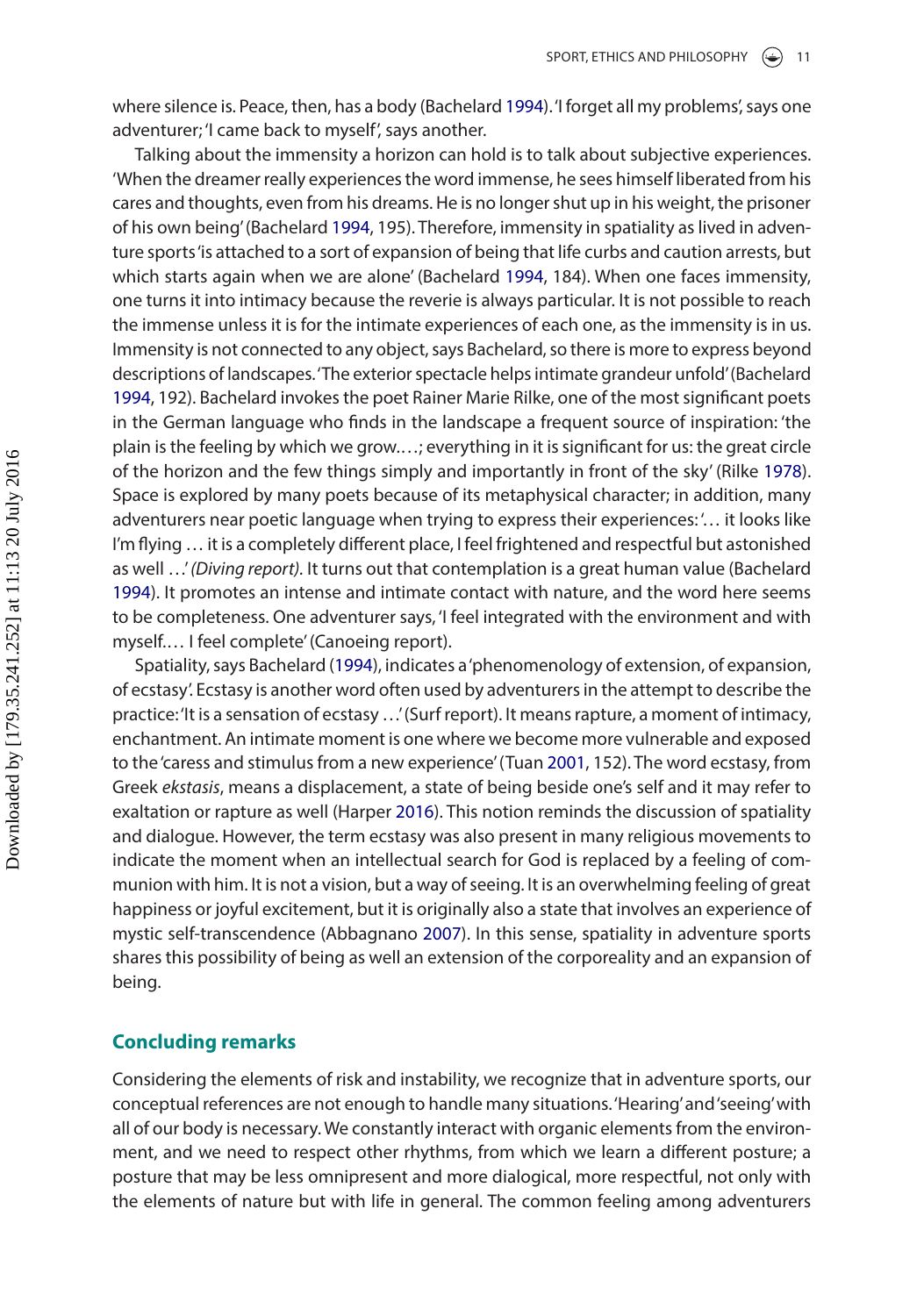where silence is. Peace, then, has a body (Bachelard [1994](#page-13-6)). 'I forget all my problems', says one adventurer; 'I came back to myself', says another.

Talking about the immensity a horizon can hold is to talk about subjective experiences. 'When the dreamer really experiences the word immense, he sees himself liberated from his cares and thoughts, even from his dreams. He is no longer shut up in his weight, the prisoner of his own being' (Bachelard [1994,](#page-13-6) 195). Therefore, immensity in spatiality as lived in adventure sports 'is attached to a sort of expansion of being that life curbs and caution arrests, but which starts again when we are alone' (Bachelard [1994](#page-13-6), 184). When one faces immensity, one turns it into intimacy because the reverie is always particular. It is not possible to reach the immense unless it is for the intimate experiences of each one, as the immensity is in us. Immensity is not connected to any object, says Bachelard, so there is more to express beyond descriptions of landscapes. 'The exterior spectacle helps intimate grandeur unfold' (Bachelard [1994,](#page-13-6) 192). Bachelard invokes the poet Rainer Marie Rilke, one of the most significant poets in the German language who finds in the landscape a frequent source of inspiration: 'the plain is the feeling by which we grow.…; everything in it is significant for us: the great circle of the horizon and the few things simply and importantly in front of the sky' (Rilke [1978](#page-14-13)). Space is explored by many poets because of its metaphysical character; in addition, many adventurers near poetic language when trying to express their experiences: '… it looks like I'm flying … it is a completely different place, I feel frightened and respectful but astonished as well …' *(Diving report).* It turns out that contemplation is a great human value (Bachelard [1994\)](#page-13-6). It promotes an intense and intimate contact with nature, and the word here seems to be completeness. One adventurer says, 'I feel integrated with the environment and with myself.… I feel complete' (Canoeing report).

<span id="page-11-2"></span><span id="page-11-1"></span>Spatiality, says Bachelard ([1994](#page-13-6)), indicates a 'phenomenology of extension, of expansion, of ecstasy'. Ecstasy is another word often used by adventurers in the attempt to describe the practice: 'It is a sensation of ecstasy …' (Surf report). It means rapture, a moment of intimacy, enchantment. An intimate moment is one where we become more vulnerable and exposed to the 'caress and stimulus from a new experience' (Tuan [2001,](#page-14-10) 152). The word ecstasy, from Greek *ekstasis*, means a displacement, a state of being beside one's self and it may refer to exaltation or rapture as well (Harper [2016\)](#page-13-22). This notion reminds the discussion of spatiality and dialogue. However, the term ecstasy was also present in many religious movements to indicate the moment when an intellectual search for God is replaced by a feeling of communion with him. It is not a vision, but a way of seeing. It is an overwhelming feeling of great happiness or joyful excitement, but it is originally also a state that involves an experience of mystic self-transcendence (Abbagnano [2007](#page-13-23)). In this sense, spatiality in adventure sports shares this possibility of being as well an extension of the corporeality and an expansion of being.

## <span id="page-11-0"></span>**Concluding remarks**

Considering the elements of risk and instability, we recognize that in adventure sports, our conceptual references are not enough to handle many situations. 'Hearing' and 'seeing' with all of our body is necessary. We constantly interact with organic elements from the environment, and we need to respect other rhythms, from which we learn a different posture; a posture that may be less omnipresent and more dialogical, more respectful, not only with the elements of nature but with life in general. The common feeling among adventurers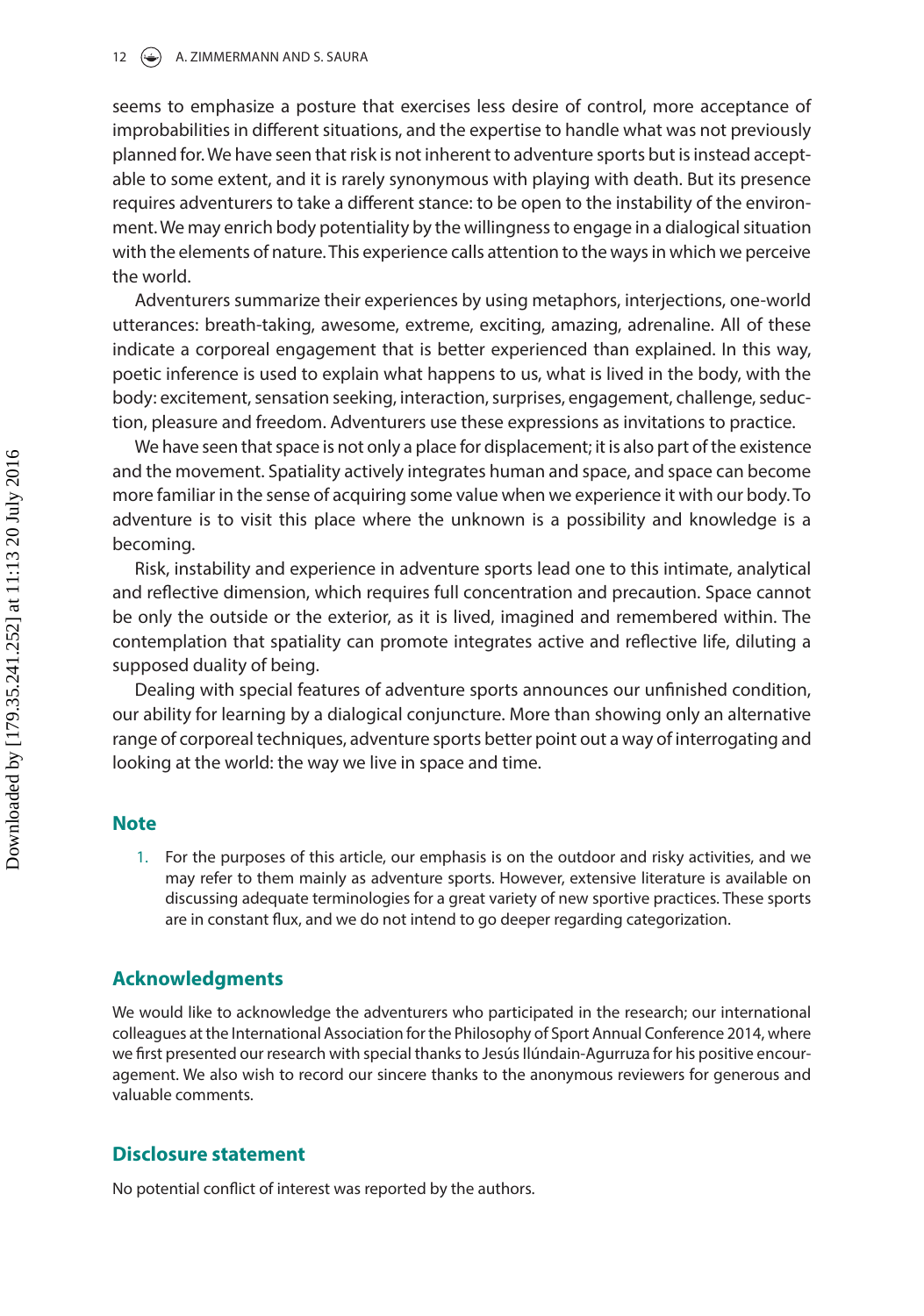#### 12 **(2)** A. ZIMMERMANN AND S. SAURA

seems to emphasize a posture that exercises less desire of control, more acceptance of improbabilities in different situations, and the expertise to handle what was not previously planned for. We have seen that risk is not inherent to adventure sports but is instead acceptable to some extent, and it is rarely synonymous with playing with death. But its presence requires adventurers to take a different stance: to be open to the instability of the environment. We may enrich body potentiality by the willingness to engage in a dialogical situation with the elements of nature. This experience calls attention to the ways in which we perceive the world.

Adventurers summarize their experiences by using metaphors, interjections, one-world utterances: breath-taking, awesome, extreme, exciting, amazing, adrenaline. All of these indicate a corporeal engagement that is better experienced than explained. In this way, poetic inference is used to explain what happens to us, what is lived in the body, with the body: excitement, sensation seeking, interaction, surprises, engagement, challenge, seduction, pleasure and freedom. Adventurers use these expressions as invitations to practice.

We have seen that space is not only a place for displacement; it is also part of the existence and the movement. Spatiality actively integrates human and space, and space can become more familiar in the sense of acquiring some value when we experience it with our body. To adventure is to visit this place where the unknown is a possibility and knowledge is a becoming.

Risk, instability and experience in adventure sports lead one to this intimate, analytical and reflective dimension, which requires full concentration and precaution. Space cannot be only the outside or the exterior, as it is lived, imagined and remembered within. The contemplation that spatiality can promote integrates active and reflective life, diluting a supposed duality of being.

Dealing with special features of adventure sports announces our unfinished condition, our ability for learning by a dialogical conjuncture. More than showing only an alternative range of corporeal techniques, adventure sports better point out a way of interrogating and looking at the world: the way we live in space and time.

#### **Note**

<span id="page-12-0"></span>1. For the purposes of this article, our emphasis is on the outdoor and risky activities, and we may refer to them mainly as adventure sports. However, extensive literature is available on discussing adequate terminologies for a great variety of new sportive practices. These sports are in constant flux, and we do not intend to go deeper regarding categorization.

## **Acknowledgments**

We would like to acknowledge the adventurers who participated in the research; our international colleagues at the International Association for the Philosophy of Sport Annual Conference 2014, where we first presented our research with special thanks to Jesús Ilúndain-Agurruza for his positive encouragement. We also wish to record our sincere thanks to the anonymous reviewers for generous and valuable comments.

#### **Disclosure statement**

No potential conflict of interest was reported by the authors.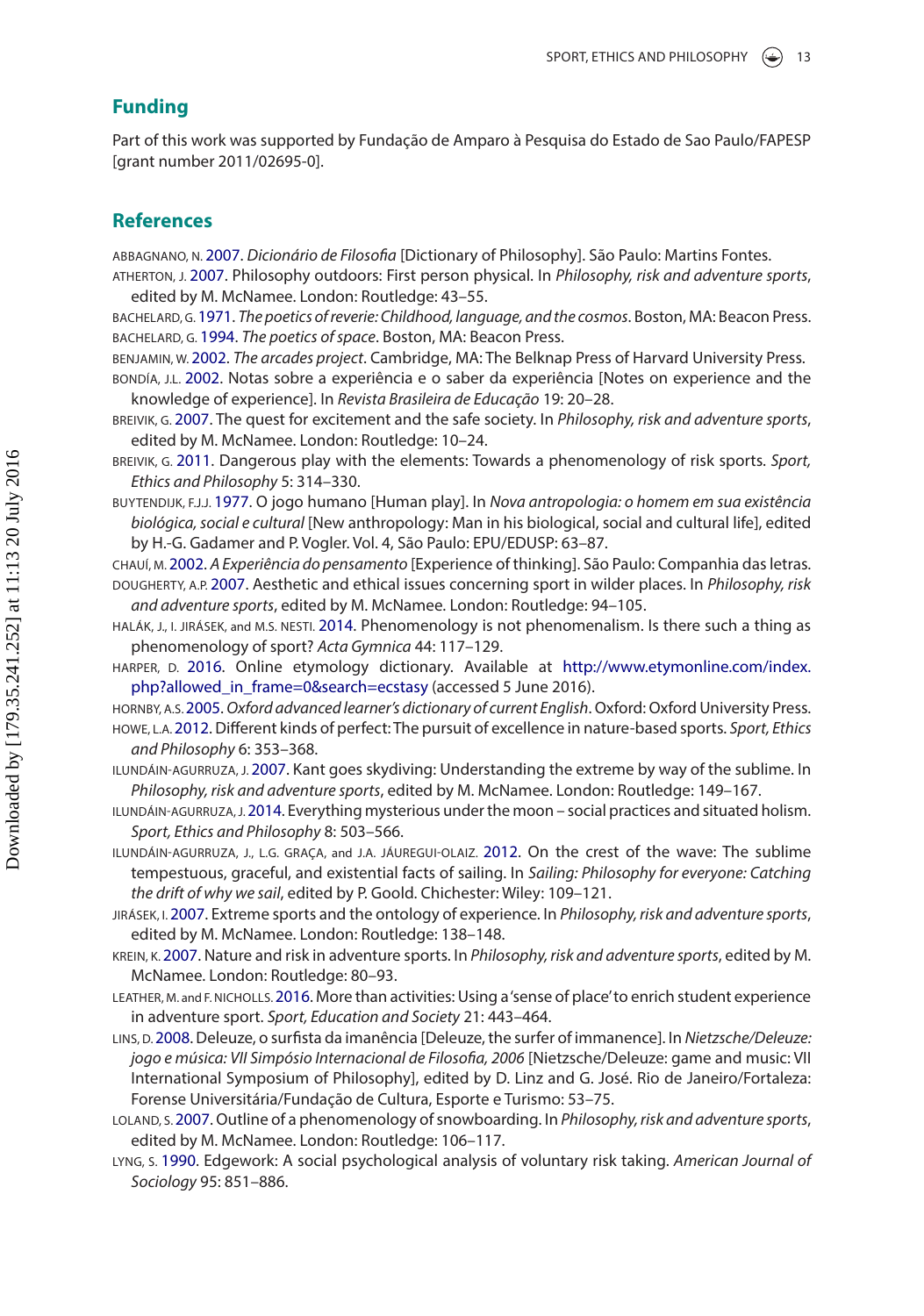### **Funding**

Part of this work was supported by Fundação de Amparo à Pesquisa do Estado de Sao Paulo/FAPESP [grant number 2011/02695-0].

## **References**

<span id="page-13-23"></span>ABBAGNANO, N. [2007](#page-11-0). *Dicionário de Filosofia* [Dictionary of Philosophy]. São Paulo: Martins Fontes.

<span id="page-13-10"></span>ATHERTON, J. [2007.](#page-3-0) Philosophy outdoors: First person physical. In *Philosophy, risk and adventure sports*, edited by M. McNamee. London: Routledge: 43–55.

<span id="page-13-6"></span><span id="page-13-5"></span>BACHELARD, G. [1971.](#page-2-0) *The poetics of reverie: Childhood, language, and the cosmos*. Boston, MA: Beacon Press. BACHELARD, G. [1994](#page-2-1). *The poetics of space*. Boston, MA: Beacon Press.

- <span id="page-13-20"></span>BENJAMIN, W. [2002.](#page-9-0) *The arcades project*. Cambridge, MA: The Belknap Press of Harvard University Press.
- <span id="page-13-16"></span>BONDÍA, J.L. [2002](#page-8-0). Notas sobre a experiência e o saber da experiência [Notes on experience and the knowledge of experience]. In *Revista Brasileira de Educação* 19: 20–28.
- <span id="page-13-7"></span>BREIVIK, G. [2007.](#page-2-2) The quest for excitement and the safe society. In *Philosophy, risk and adventure sports*, edited by M. McNamee. London: Routledge: 10–24.
- <span id="page-13-21"></span>BREIVIK, G. [2011.](#page-9-1) Dangerous play with the elements: Towards a phenomenology of risk sports. *Sport, Ethics and Philosophy* 5: 314–330.
- <span id="page-13-19"></span>BUYTENDIJK, F.J.J. [1977.](#page-9-2) O jogo humano [Human play]. In *Nova antropologia: o homem em sua existência biológica, social e cultural* [New anthropology: Man in his biological, social and cultural life], edited by H.-G. Gadamer and P. Vogler. Vol. 4, São Paulo: EPU/EDUSP: 63–87.
- <span id="page-13-14"></span><span id="page-13-0"></span>CHAUÍ, M. [2002.](#page-6-0) *A Experiência do pensamento* [Experience of thinking]. São Paulo: Companhia das letras. DOUGHERTY, A.P. [2007](#page-1-0). Aesthetic and ethical issues concerning sport in wilder places. In *Philosophy, risk and adventure sports*, edited by M. McNamee. London: Routledge: 94–105.
- <span id="page-13-4"></span>HALÁK, J., I. JIRÁSEK, and M.S. NESTI. [2014.](#page-2-3) Phenomenology is not phenomenalism. Is there such a thing as phenomenology of sport? *Acta Gymnica* 44: 117–129.
- <span id="page-13-22"></span>HARPER, D. [2016](#page-11-1). Online etymology dictionary. Available at [http://www.etymonline.com/index.](http://www.etymonline.com/index.php?allowed_in_frame=0&search=ecstasy) [php?allowed\\_in\\_frame=0&search=ecstasy](http://www.etymonline.com/index.php?allowed_in_frame=0&search=ecstasy) (accessed 5 June 2016).
- <span id="page-13-17"></span><span id="page-13-3"></span>HORNBY, A.S. [2005.](#page-8-1) *Oxford advanced learner's dictionary of current English*. Oxford: Oxford University Press. HOWE, L.A. [2012.](#page-2-4) Different kinds of perfect: The pursuit of excellence in nature-based sports. *Sport, Ethics and Philosophy* 6: 353–368.
- <span id="page-13-18"></span>ILUNDÁIN-AGURRUZA, J. [2007.](#page-8-2) Kant goes skydiving: Understanding the extreme by way of the sublime. In *Philosophy, risk and adventure sports*, edited by M. McNamee. London: Routledge: 149–167.
- <span id="page-13-11"></span>ILUNDÁIN-AGURRUZA, J. [2014](#page-4-0). Everything mysterious under the moon – social practices and situated holism. *Sport, Ethics and Philosophy* 8: 503–566.
- <span id="page-13-9"></span>ILUNDÁIN-AGURRUZA, J., L.G. GRAÇA, and J.A. JÁUREGUI-OLAIZ. [2012.](#page-3-1) On the crest of the wave: The sublime tempestuous, graceful, and existential facts of sailing. In *Sailing: Philosophy for everyone: Catching the drift of why we sail*, edited by P. Goold. Chichester: Wiley: 109–121.
- <span id="page-13-13"></span>JIRÁSEK, I. [2007](#page-6-1). Extreme sports and the ontology of experience. In *Philosophy, risk and adventure sports*, edited by M. McNamee. London: Routledge: 138–148.
- <span id="page-13-12"></span>KREIN, K. [2007.](#page-5-0) Nature and risk in adventure sports. In *Philosophy, risk and adventure sports*, edited by M. McNamee. London: Routledge: 80–93.

<span id="page-13-2"></span>LEATHER, M. and F. NICHOLLS. [2016](#page-2-5). More than activities: Using a 'sense of place' to enrich student experience in adventure sport. *Sport, Education and Society* 21: 443–464.

- <span id="page-13-15"></span>LINS, D. [2008](#page-7-0). Deleuze, o surfista da imanência [Deleuze, the surfer of immanence]. In *Nietzsche/Deleuze: jogo e música: VII Simpósio Internacional de Filosofia, 2006* [Nietzsche/Deleuze: game and music: VII International Symposium of Philosophy], edited by D. Linz and G. José. Rio de Janeiro/Fortaleza: Forense Universitária/Fundação de Cultura, Esporte e Turismo: 53–75.
- <span id="page-13-1"></span>LOLAND, S. [2007](#page-2-6). Outline of a phenomenology of snowboarding. In *Philosophy, risk and adventure sports*, edited by M. McNamee. London: Routledge: 106–117.
- <span id="page-13-8"></span>LYNG, S. [1990.](#page-2-7) Edgework: A social psychological analysis of voluntary risk taking. *American Journal of Sociology* 95: 851–886.